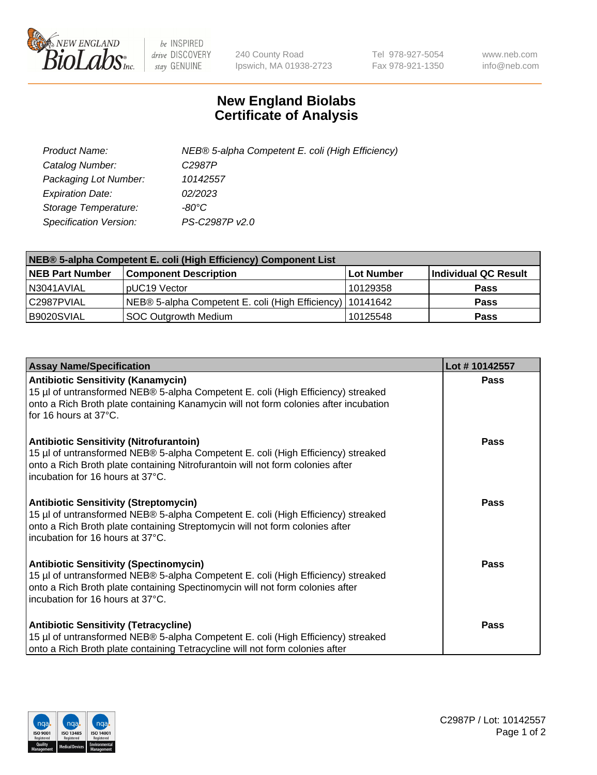

 $be$  INSPIRED drive DISCOVERY stay GENUINE

240 County Road Ipswich, MA 01938-2723 Tel 978-927-5054 Fax 978-921-1350 www.neb.com info@neb.com

## **New England Biolabs Certificate of Analysis**

| Product Name:                 | NEB® 5-alpha Competent E. coli (High Efficiency) |
|-------------------------------|--------------------------------------------------|
| Catalog Number:               | C <sub>2987</sub> P                              |
| Packaging Lot Number:         | 10142557                                         |
| <b>Expiration Date:</b>       | 02/2023                                          |
| Storage Temperature:          | -80°C                                            |
| <b>Specification Version:</b> | PS-C2987P v2.0                                   |

| NEB® 5-alpha Competent E. coli (High Efficiency) Component List |                                                             |              |                      |  |
|-----------------------------------------------------------------|-------------------------------------------------------------|--------------|----------------------|--|
| <b>NEB Part Number</b>                                          | <b>Component Description</b>                                | l Lot Number | Individual QC Result |  |
| N3041AVIAL                                                      | pUC19 Vector                                                | 10129358     | <b>Pass</b>          |  |
| C2987PVIAL                                                      | NEB® 5-alpha Competent E. coli (High Efficiency)   10141642 |              | <b>Pass</b>          |  |
| B9020SVIAL                                                      | <b>SOC Outgrowth Medium</b>                                 | 10125548     | <b>Pass</b>          |  |

| <b>Assay Name/Specification</b>                                                                                                                                                                                                                          | Lot #10142557 |
|----------------------------------------------------------------------------------------------------------------------------------------------------------------------------------------------------------------------------------------------------------|---------------|
| <b>Antibiotic Sensitivity (Kanamycin)</b><br>15 µl of untransformed NEB® 5-alpha Competent E. coli (High Efficiency) streaked<br>onto a Rich Broth plate containing Kanamycin will not form colonies after incubation<br>for 16 hours at 37°C.           | <b>Pass</b>   |
| <b>Antibiotic Sensitivity (Nitrofurantoin)</b><br>15 µl of untransformed NEB® 5-alpha Competent E. coli (High Efficiency) streaked<br>onto a Rich Broth plate containing Nitrofurantoin will not form colonies after<br>incubation for 16 hours at 37°C. | Pass          |
| <b>Antibiotic Sensitivity (Streptomycin)</b><br>15 µl of untransformed NEB® 5-alpha Competent E. coli (High Efficiency) streaked<br>onto a Rich Broth plate containing Streptomycin will not form colonies after<br>incubation for 16 hours at 37°C.     | Pass          |
| <b>Antibiotic Sensitivity (Spectinomycin)</b><br>15 µl of untransformed NEB® 5-alpha Competent E. coli (High Efficiency) streaked<br>onto a Rich Broth plate containing Spectinomycin will not form colonies after<br>incubation for 16 hours at 37°C.   | <b>Pass</b>   |
| <b>Antibiotic Sensitivity (Tetracycline)</b><br>15 µl of untransformed NEB® 5-alpha Competent E. coli (High Efficiency) streaked<br>onto a Rich Broth plate containing Tetracycline will not form colonies after                                         | Pass          |